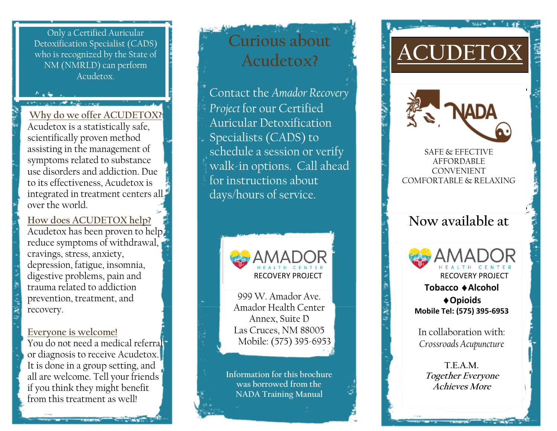Only a Certified Auricular Detoxification Specialist (CADS) who is recognized by the State of NM (NMRLD) can perform Acudetox.

an off happy come

**Why do we offer ACUDETOX?** Acudetox is a statistically safe, scientifically proven method assisting in the management of symptoms related to substance use disorders and addiction. Due to its effectiveness, Acudetox is integrated in treatment centers all over the world.

**How does ACUDETOX help?** Acudetox has been proven to help reduce symptoms of withdrawal, cravings, stress, anxiety, depression, fatigue, insomnia, digestive problems, pain and trauma related to addiction prevention, treatment, and recovery.

#### **Everyone is welcome!**

You do not need a medical referral or diagnosis to receive Acudetox. It is done in a group setting, and all are welcome. Tell your friends if you think they might benefit from this treatment as well!

# **Curious about Acudetox?**

Contact the *Amador Recovery Project* for our Certified Auricular Detoxification Specialists (CADS) to schedule a session or verify walk-in options. Call ahead for instructions about days/hours of service.